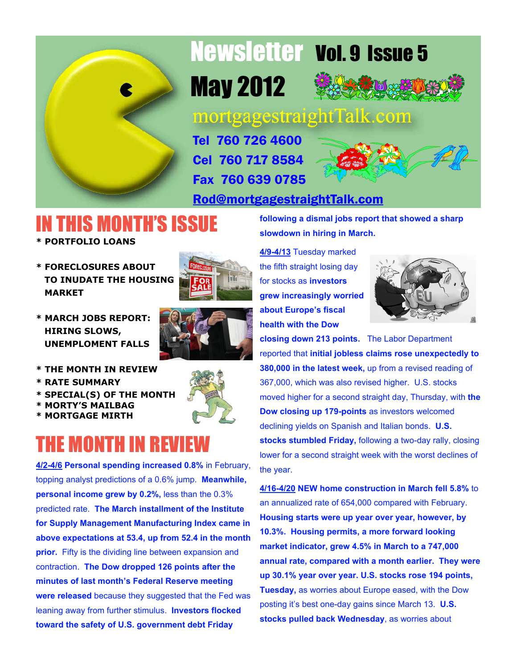

# Newsletter Vol. 9 Issue 5

May 2012



mortgagestraightTalk.com

Tel 760 726 4600 Cel 760 717 8584 Fax 760 639 0785



[Rod@mortgagestraightTalk.com](mailto:Rod@MortgageStraightTalk.com)

# IN THIS MONTH'S ISSUE

- **\* PORTFOLIO LOANS**
- **\* FORECLOSURES ABOUT TO INUDATE THE HOUSING MARKET**



**\* MARCH JOBS REPORT: HIRING SLOWS, UNEMPLOMENT FALLS**



- **\* RATE SUMMARY**
- **\* SPECIAL(S) OF THE MONTH**
- **\* MORTY'S MAILBAG**
- **\* MORTGAGE MIRTH**



**4/2-4/6 Personal spending increased 0.8%** in February, topping analyst predictions of a 0.6% jump. **Meanwhile, personal income grew by 0.2%,** less than the 0.3% predicted rate. **The March installment of the Institute for Supply Management Manufacturing Index came in above expectations at 53.4, up from 52.4 in the month prior.** Fifty is the dividing line between expansion and contraction. **The Dow dropped 126 points after the minutes of last month's Federal Reserve meeting were released** because they suggested that the Fed was leaning away from further stimulus. **Investors flocked toward the safety of U.S. government debt Friday**

**following a dismal jobs report that showed a sharp slowdown in hiring in March.**

**4/9-4/13** Tuesday marked the fifth straight losing day for stocks as **investors grew increasingly worried about Europe's fiscal health with the Dow**



**closing down 213 points.** The Labor Department reported that **initial jobless claims rose unexpectedly to 380,000 in the latest week,** up from a revised reading of 367,000, which was also revised higher. U.S. stocks moved higher for a second straight day, Thursday, with **the Dow closing up 179-points** as investors welcomed declining yields on Spanish and Italian bonds. **U.S. stocks stumbled Friday,** following a two-day rally, closing lower for a second straight week with the worst declines of the year.

**4/16-4/20 NEW home construction in March fell 5.8%** to an annualized rate of 654,000 compared with February. **Housing starts were up year over year, however, by 10.3%. Housing permits, a more forward looking market indicator, grew 4.5% in March to a 747,000 annual rate, compared with a month earlier. They were up 30.1% year over year. U.S. stocks rose 194 points, Tuesday,** as worries about Europe eased, with the Dow posting it's best one-day gains since March 13. **U.S. stocks pulled back Wednesday**, as worries about

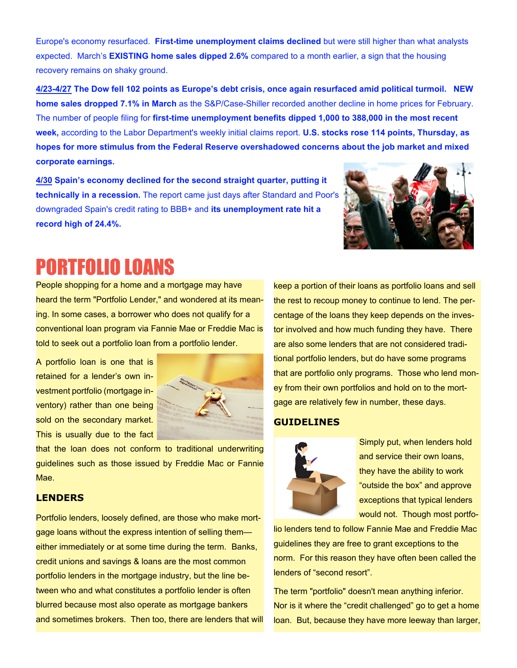Europe's economy resurfaced. **First-time unemployment claims declined** but were still higher than what analysts expected. March's **EXISTING home sales dipped 2.6%** compared to a month earlier, a sign that the housing recovery remains on shaky ground.

**4/23-4/27 The Dow fell 102 points as Europe's debt crisis, once again resurfaced amid political turmoil. NEW home sales dropped 7.1% in March** as the S&P/Case-Shiller recorded another decline in home prices for February. The number of people filing for **first-time unemployment benefits dipped 1,000 to 388,000 in the most recent week,** according to the Labor Department's weekly initial claims report. **U.S. stocks rose 114 points, Thursday, as hopes for more stimulus from the Federal Reserve overshadowed concerns about the job market and mixed corporate earnings.**

**4/30 Spain's economy declined for the second straight quarter, putting it technically in a recession.** The report came just days after Standard and Poor's downgraded Spain's credit rating to BBB+ and **its unemployment rate hit a record high of 24.4%.**



### PORTFOLIO LOANS

People shopping for a home and a mortgage may have heard the term "Portfolio Lender," and wondered at its meaning. In some cases, a borrower who does not qualify for a conventional loan program via Fannie Mae or Freddie Mac is told to seek out a portfolio loan from a portfolio lender.

A portfolio loan is one that is retained for a lender's own investment portfolio (mortgage inventory) rather than one being sold on the secondary market. This is usually due to the fact



that the loan does not conform to traditional underwriting guidelines such as those issued by Freddie Mac or Fannie Mae.

#### **LENDERS**

Portfolio lenders, loosely defined, are those who make mortgage loans without the express intention of selling them either immediately or at some time during the term. Banks, credit unions and savings & loans are the most common portfolio lenders in the mortgage industry, but the line between who and what constitutes a portfolio lender is often blurred because most also operate as mortgage bankers and sometimes brokers. Then too, there are lenders that will keep a portion of their loans as portfolio loans and sell the rest to recoup money to continue to lend. The percentage of the loans they keep depends on the investor involved and how much funding they have. There are also some lenders that are not considered traditional portfolio lenders, but do have some programs that are portfolio only programs. Those who lend money from their own portfolios and hold on to the mortgage are relatively few in number, these days.

#### **GUIDELINES**



Simply put, when lenders hold and service their own loans, they have the ability to work "outside the box" and approve exceptions that typical lenders would not. Though most portfo-

lio lenders tend to follow Fannie Mae and Freddie Mac guidelines they are free to grant exceptions to the norm. For this reason they have often been called the lenders of "second resort".

The term "portfolio" doesn't mean anything inferior. Nor is it where the "credit challenged" go to get a home loan. But, because they have more leeway than larger,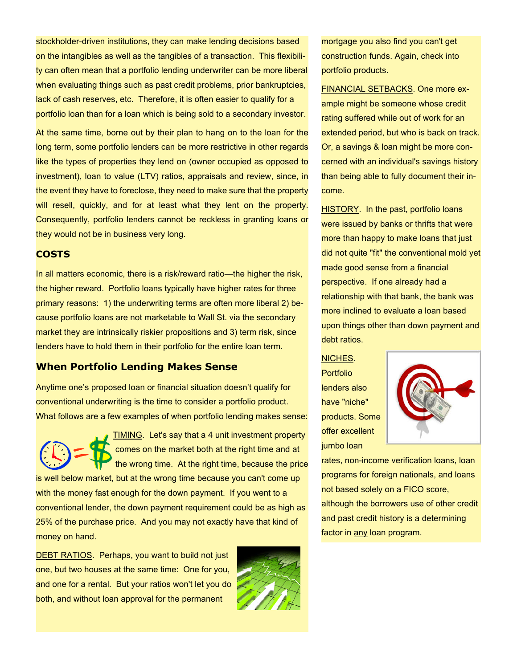stockholder-driven institutions, they can make lending decisions based on the intangibles as well as the tangibles of a transaction. This flexibility can often mean that a portfolio lending underwriter can be more liberal when evaluating things such as past credit problems, prior bankruptcies, lack of cash reserves, etc. Therefore, it is often easier to qualify for a portfolio loan than for a loan which is being sold to a secondary investor.

At the same time, borne out by their plan to hang on to the loan for the long term, some portfolio lenders can be more restrictive in other regards like the types of properties they lend on (owner occupied as opposed to investment), loan to value (LTV) ratios, appraisals and review, since, in the event they have to foreclose, they need to make sure that the property will resell, quickly, and for at least what they lent on the property. Consequently, portfolio lenders cannot be reckless in granting loans or they would not be in business very long.

#### **COSTS**

In all matters economic, there is a risk/reward ratio—the higher the risk, the higher reward. Portfolio loans typically have higher rates for three primary reasons: 1) the underwriting terms are often more liberal 2) because portfolio loans are not marketable to Wall St. via the secondary market they are intrinsically riskier propositions and 3) term risk, since lenders have to hold them in their portfolio for the entire loan term.

### **When Portfolio Lending Makes Sense**

Anytime one's proposed loan or financial situation doesn't qualify for conventional underwriting is the time to consider a portfolio product. What follows are a few examples of when portfolio lending makes sense:



**TIMING.** Let's say that a 4 unit investment property comes on the market both at the right time and at the wrong time. At the right time, because the price

is well below market, but at the wrong time because you can't come up with the money fast enough for the down payment. If you went to a conventional lender, the down payment requirement could be as high as 25% of the purchase price. And you may not exactly have that kind of money on hand.

DEBT RATIOS. Perhaps, you want to build not just one, but two houses at the same time: One for you, and one for a rental. But your ratios won't let you do both, and without loan approval for the permanent



mortgage you also find you can't get construction funds. Again, check into portfolio products.

FINANCIAL SETBACKS. One more example might be someone whose credit rating suffered while out of work for an extended period, but who is back on track. Or, a savings & loan might be more concerned with an individual's savings history than being able to fully document their income.

HISTORY. In the past, portfolio loans were issued by banks or thrifts that were more than happy to make loans that just did not quite "fit" the conventional mold yet made good sense from a financial perspective. If one already had a relationship with that bank, the bank was more inclined to evaluate a loan based upon things other than down payment and debt ratios.

NICHES.

Portfolio lenders also have "niche" products. Some offer excellent jumbo loan



rates, non-income verification loans, loan programs for foreign nationals, and loans not based solely on a FICO score, although the borrowers use of other credit and past credit history is a determining factor in any loan program.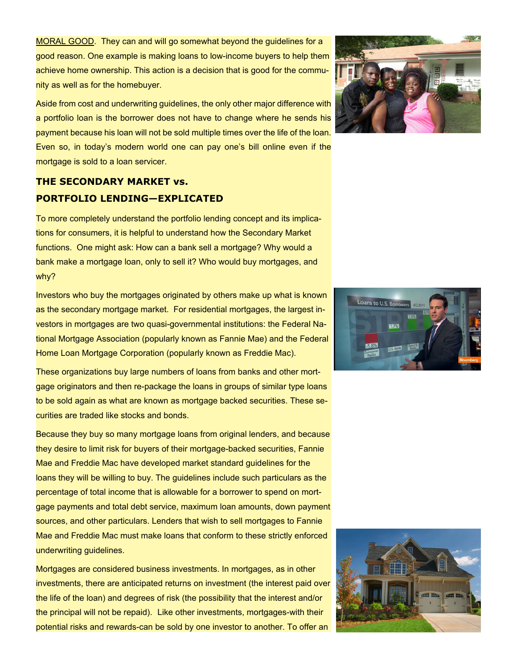MORAL GOOD. They can and will go somewhat beyond the guidelines for a good reason. One example is making loans to low-income buyers to help them achieve home ownership. This action is a decision that is good for the community as well as for the homebuyer.

Aside from cost and underwriting guidelines, the only other major difference with a portfolio loan is the borrower does not have to change where he sends his payment because his loan will not be sold multiple times over the life of the loan. Even so, in today's modern world one can pay one's bill online even if the mortgage is sold to a loan servicer.

### **THE SECONDARY MARKET vs. PORTFOLIO LENDING—EXPLICATED**

To more completely understand the portfolio lending concept and its implications for consumers, it is helpful to understand how the Secondary Market functions. One might ask: How can a bank sell a mortgage? Why would a bank make a mortgage loan, only to sell it? Who would buy mortgages, and why?

Investors who buy the mortgages originated by others make up what is known as the secondary mortgage market. For residential mortgages, the largest investors in mortgages are two quasi-governmental institutions: the Federal National Mortgage Association (popularly known as Fannie Mae) and the Federal Home Loan Mortgage Corporation (popularly known as Freddie Mac).

These organizations buy large numbers of loans from banks and other mortgage originators and then re-package the loans in groups of similar type loans to be sold again as what are known as mortgage backed securities. These securities are traded like stocks and bonds.

Because they buy so many mortgage loans from original lenders, and because they desire to limit risk for buyers of their mortgage-backed securities, Fannie Mae and Freddie Mac have developed market standard guidelines for the loans they will be willing to buy. The guidelines include such particulars as the percentage of total income that is allowable for a borrower to spend on mortgage payments and total debt service, maximum loan amounts, down payment sources, and other particulars. Lenders that wish to sell mortgages to Fannie Mae and Freddie Mac must make loans that conform to these strictly enforced underwriting guidelines.

Mortgages are considered business investments. In mortgages, as in other investments, there are anticipated returns on investment (the interest paid over the life of the loan) and degrees of risk (the possibility that the interest and/or the principal will not be repaid). Like other investments, mortgages-with their potential risks and rewards-can be sold by one investor to another. To offer an





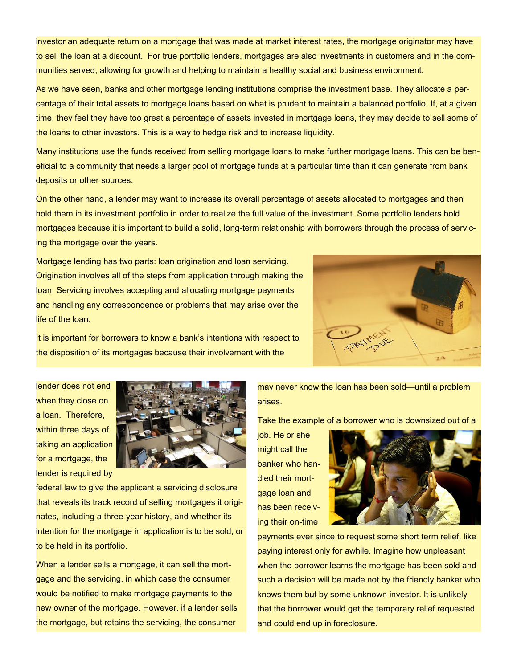investor an adequate return on a mortgage that was made at market interest rates, the mortgage originator may have to sell the loan at a discount. For true portfolio lenders, mortgages are also investments in customers and in the communities served, allowing for growth and helping to maintain a healthy social and business environment.

As we have seen, banks and other mortgage lending institutions comprise the investment base. They allocate a percentage of their total assets to mortgage loans based on what is prudent to maintain a balanced portfolio. If, at a given time, they feel they have too great a percentage of assets invested in mortgage loans, they may decide to sell some of the loans to other investors. This is a way to hedge risk and to increase liquidity.

Many institutions use the funds received from selling mortgage loans to make further mortgage loans. This can be beneficial to a community that needs a larger pool of mortgage funds at a particular time than it can generate from bank deposits or other sources.

On the other hand, a lender may want to increase its overall percentage of assets allocated to mortgages and then hold them in its investment portfolio in order to realize the full value of the investment. Some portfolio lenders hold mortgages because it is important to build a solid, long-term relationship with borrowers through the process of servicing the mortgage over the years.

Mortgage lending has two parts: loan origination and loan servicing. Origination involves all of the steps from application through making the loan. Servicing involves accepting and allocating mortgage payments and handling any correspondence or problems that may arise over the life of the loan.



It is important for borrowers to know a bank's intentions with respect to the disposition of its mortgages because their involvement with the

lender does not end when they close on a loan. Therefore, within three days of taking an application for a mortgage, the lender is required by



federal law to give the applicant a servicing disclosure that reveals its track record of selling mortgages it originates, including a three-year history, and whether its intention for the mortgage in application is to be sold, or to be held in its portfolio.

When a lender sells a mortgage, it can sell the mortgage and the servicing, in which case the consumer would be notified to make mortgage payments to the new owner of the mortgage. However, if a lender sells the mortgage, but retains the servicing, the consumer

may never know the loan has been sold—until a problem arises.

Take the example of a borrower who is downsized out of a

job. He or she might call the banker who handled their mortgage loan and has been receiving their on-time



payments ever since to request some short term relief, like paying interest only for awhile. Imagine how unpleasant when the borrower learns the mortgage has been sold and such a decision will be made not by the friendly banker who knows them but by some unknown investor. It is unlikely that the borrower would get the temporary relief requested and could end up in foreclosure.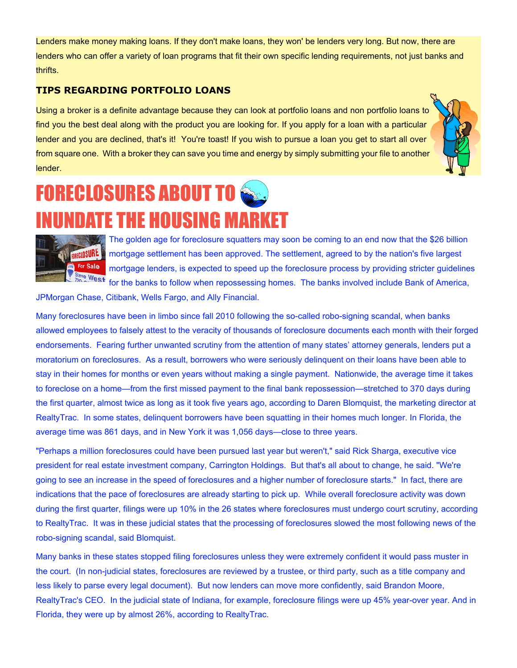Lenders make money making loans. If they don't make loans, they won' be lenders very long. But now, there are lenders who can offer a variety of loan programs that fit their own specific lending requirements, not just banks and thrifts.

#### **TIPS REGARDING PORTFOLIO LOANS**

Using a broker is a definite advantage because they can look at portfolio loans and non portfolio loans to find you the best deal along with the product you are looking for. If you apply for a loan with a particular lender and you are declined, that's it! You're toast! If you wish to pursue a loan you get to start all over from square one. With a broker they can save you time and energy by simply submitting your file to another lender.



# **FORECLOSURES ABOUT TO**  $\bigcirc$ INUNDATE THE HOUSING MARKET



The golden age for foreclosure squatters may soon be coming to an end now that the \$26 billion mortgage settlement has been approved. The settlement, agreed to by the nation's five largest mortgage lenders, is expected to speed up the foreclosure process by providing stricter guidelines for the banks to follow when repossessing homes. The banks involved include Bank of America,

JPMorgan Chase, Citibank, Wells Fargo, and Ally Financial.

Many foreclosures have been in limbo since fall 2010 following the so-called robo-signing scandal, when banks allowed employees to falsely attest to the veracity of thousands of foreclosure documents each month with their forged endorsements. Fearing further unwanted scrutiny from the attention of many states' attorney generals, lenders put a moratorium on foreclosures. As a result, borrowers who were seriously delinquent on their loans have been able to stay in their homes for months or even years without making a single payment. Nationwide, the average time it takes to foreclose on a home—from the first missed payment to the final bank repossession—stretched to 370 days during the first quarter, almost twice as long as it took five years ago, according to Daren Blomquist, the marketing director at RealtyTrac. In some states, delinquent borrowers have been squatting in their homes much longer. In Florida, the average time was 861 days, and in New York it was 1,056 days—close to three years.

"Perhaps a million foreclosures could have been pursued last year but weren't," said Rick Sharga, executive vice president for real estate investment company, Carrington Holdings. But that's all about to change, he said. "We're going to see an increase in the speed of foreclosures and a higher number of foreclosure starts." In fact, there are indications that the pace of foreclosures are already starting to pick up. While overall foreclosure activity was down during the first quarter, filings were up 10% in the 26 states where foreclosures must undergo court scrutiny, according to RealtyTrac. It was in these judicial states that the processing of foreclosures slowed the most following news of the robo-signing scandal, said Blomquist.

Many banks in these states stopped filing foreclosures unless they were extremely confident it would pass muster in the court. (In non-judicial states, foreclosures are reviewed by a trustee, or third party, such as a title company and less likely to parse every legal document). But now lenders can move more confidently, said Brandon Moore, RealtyTrac's CEO. In the judicial state of Indiana, for example, foreclosure filings were up 45% year-over year. And in Florida, they were up by almost 26%, according to RealtyTrac.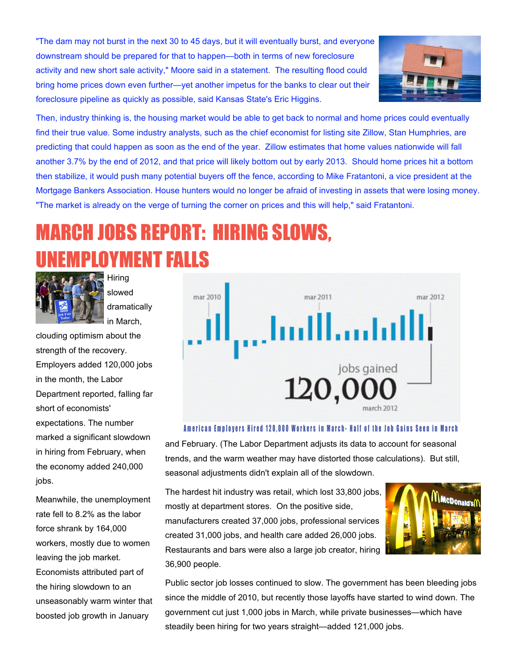"The dam may not burst in the next 30 to 45 days, but it will eventually burst, and everyone downstream should be prepared for that to happen—both in terms of new foreclosure activity and new short sale activity," Moore said in a statement. The resulting flood could bring home prices down even further—yet another impetus for the banks to clear out their foreclosure pipeline as quickly as possible, said Kansas State's Eric Higgins.



Then, industry thinking is, the housing market would be able to get back to normal and home prices could eventually find their true value. Some industry analysts, such as the chief economist for listing site Zillow, Stan Humphries, are predicting that could happen as soon as the end of the year. Zillow estimates that home values nationwide will fall another 3.7% by the end of 2012, and that price will likely bottom out by early 2013. Should home prices hit a bottom then stabilize, it would push many potential buyers off the fence, according to Mike Fratantoni, a vice president at the Mortgage Bankers Association. House hunters would no longer be afraid of investing in assets that were losing money. "The market is already on the verge of turning the corner on prices and this will help," said Fratantoni.

# MARCH JOBS REPORT: HIRING SLOWS, **MPLOYMENT FALLS**



slowed dramatically in March,

**Hiring** 

clouding optimism about the strength of the recovery. Employers added 120,000 jobs in the month, the Labor Department reported, falling far short of economists' expectations. The number marked a significant slowdown in hiring from February, when the economy added 240,000 jobs.

Meanwhile, the unemployment rate fell to 8.2% as the labor force shrank by 164,000 workers, mostly due to women leaving the job market. Economists attributed part of the hiring slowdown to an unseasonably warm winter that boosted job growth in January



#### American Employers Hired 120,000 Workers in March- Half of the Job Gains Seen in March

and February. (The Labor Department adjusts its data to account for seasonal trends, and the warm weather may have distorted those calculations). But still, seasonal adjustments didn't explain all of the slowdown.

The hardest hit industry was retail, which lost 33,800 jobs, mostly at department stores. On the positive side, manufacturers created 37,000 jobs, professional services created 31,000 jobs, and health care added 26,000 jobs. Restaurants and bars were also a large job creator, hiring 36,900 people.



Public sector job losses continued to slow. The government has been bleeding jobs since the middle of 2010, but recently those layoffs have started to wind down. The government cut just 1,000 jobs in March, while private businesses—which have steadily been hiring for two years straight—added 121,000 jobs.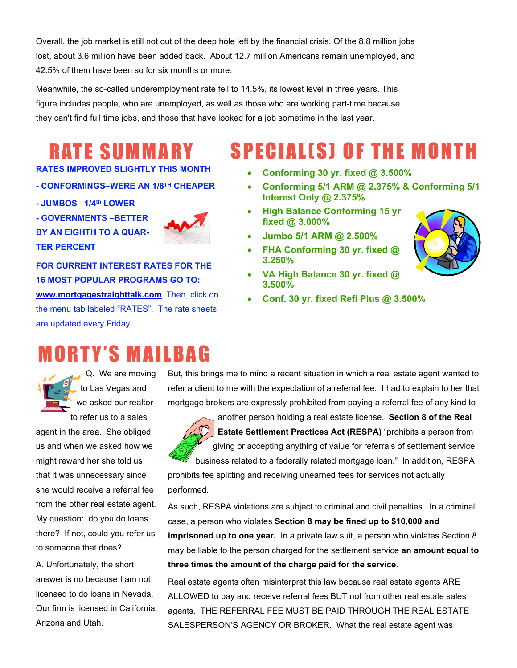Overall, the job market is still not out of the deep hole left by the financial crisis. Of the 8.8 million jobs lost, about 3.6 million have been added back. About 12.7 million Americans remain unemployed, and 42.5% of them have been so for six months or more.

Meanwhile, the so-called underemployment rate fell to 14.5%, its lowest level in three years. This figure includes people, who are unemployed, as well as those who are working part-time because they can't find full time jobs, and those that have looked for a job sometime in the last year.

### R AT E S U M M A R Y

#### **RATES IMPROVED SLIGHTLY THIS MONTH**

- **CONFORMINGS–WERE AN 1/8TH CHEAPER**
- **JUMBOS –1/4th LOWER**
- **GOVERNMENTS –BETTER BY AN EIGHTH TO A QUAR-TER PERCENT**



### **FOR CURRENT INTEREST RATES FOR THE 16 MOST POPULAR PROGRAMS GO TO:**

**<www.mortgagestraighttalk.com>** Then, click on the menu tab labeled "RATES". The rate sheets are updated every Friday.

### **MORTY'S MAILBAG**

Q. We are moving to Las Vegas and we asked our realtor

to refer us to a sales agent in the area. She obliged us and when we asked how we might reward her she told us that it was unnecessary since she would receive a referral fee from the other real estate agent. My question: do you do loans there? If not, could you refer us to someone that does?

A. Unfortunately, the short answer is no because I am not licensed to do loans in Nevada. Our firm is licensed in California, Arizona and Utah.

### But, this brings me to mind a recent situation in which a real estate agent wanted to refer a client to me with the expectation of a referral fee. I had to explain to her that mortgage brokers are expressly prohibited from paying a referral fee of any kind to



prohibits fee splitting and receiving unearned fees for services not actually performed.

As such, RESPA violations are subject to criminal and civil penalties. In a criminal case, a person who violates **Section 8 may be fined up to \$10,000 and imprisoned up to one year.** In a private law suit, a person who violates Section 8 may be liable to the person charged for the settlement service **an amount equal to three times the amount of the charge paid for the service**.

Real estate agents often misinterpret this law because real estate agents ARE ALLOWED to pay and receive referral fees BUT not from other real estate sales agents. THE REFERRAL FEE MUST BE PAID THROUGH THE REAL ESTATE SALESPERSON'S AGENCY OR BROKER. What the real estate agent was

### SPECIAL(S) OF THE MONTH

- · **Conforming 30 yr. fixed @ 3.500%**
- · **Conforming 5/1 ARM @ 2.375% & Conforming 5/1 Interest Only @ 2.375%**
- **High Balance Conforming 15 yr fixed @ 3.000%**
- · **Jumbo 5/1 ARM @ 2.500%**
- · **FHA Conforming 30 yr. fixed @ 3.250%**
- · **VA High Balance 30 yr. fixed @ 3.500%**
- · **Conf. 30 yr. fixed Refi Plus @ 3.500%**

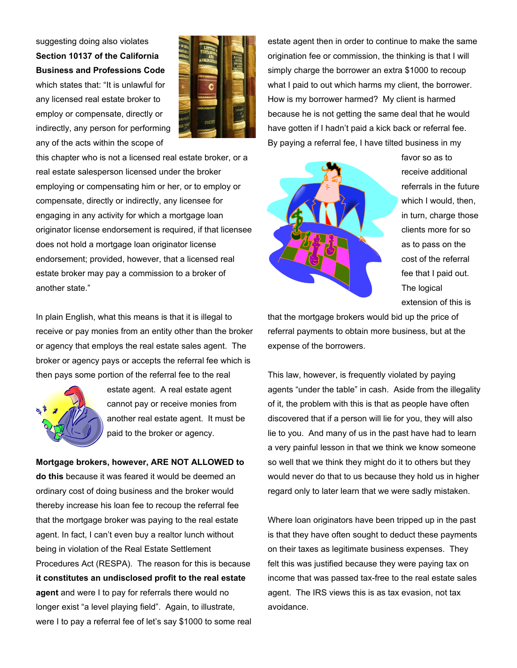suggesting doing also violates **Section 10137 of the California Business and Professions Code** which states that: "It is unlawful for any licensed real estate broker to employ or compensate, directly or indirectly, any person for performing any of the acts within the scope of



this chapter who is not a licensed real estate broker, or a real estate salesperson licensed under the broker employing or compensating him or her, or to employ or compensate, directly or indirectly, any licensee for engaging in any activity for which a mortgage loan originator license endorsement is required, if that licensee does not hold a mortgage loan originator license endorsement; provided, however, that a licensed real estate broker may pay a commission to a broker of another state."

In plain English, what this means is that it is illegal to receive or pay monies from an entity other than the broker or agency that employs the real estate sales agent. The broker or agency pays or accepts the referral fee which is then pays some portion of the referral fee to the real



estate agent. A real estate agent cannot pay or receive monies from another real estate agent. It must be paid to the broker or agency.

**Mortgage brokers, however, ARE NOT ALLOWED to do this** because it was feared it would be deemed an ordinary cost of doing business and the broker would thereby increase his loan fee to recoup the referral fee that the mortgage broker was paying to the real estate agent. In fact, I can't even buy a realtor lunch without being in violation of the Real Estate Settlement Procedures Act (RESPA). The reason for this is because **it constitutes an undisclosed profit to the real estate agent** and were I to pay for referrals there would no longer exist "a level playing field". Again, to illustrate, were I to pay a referral fee of let's say \$1000 to some real

estate agent then in order to continue to make the same origination fee or commission, the thinking is that I will simply charge the borrower an extra \$1000 to recoup what I paid to out which harms my client, the borrower. How is my borrower harmed? My client is harmed because he is not getting the same deal that he would have gotten if I hadn't paid a kick back or referral fee. By paying a referral fee, I have tilted business in my



favor so as to receive additional referrals in the future which I would, then, in turn, charge those clients more for so as to pass on the cost of the referral fee that I paid out. The logical extension of this is

that the mortgage brokers would bid up the price of referral payments to obtain more business, but at the expense of the borrowers.

This law, however, is frequently violated by paying agents "under the table" in cash. Aside from the illegality of it, the problem with this is that as people have often discovered that if a person will lie for you, they will also lie to you. And many of us in the past have had to learn a very painful lesson in that we think we know someone so well that we think they might do it to others but they would never do that to us because they hold us in higher regard only to later learn that we were sadly mistaken.

Where loan originators have been tripped up in the past is that they have often sought to deduct these payments on their taxes as legitimate business expenses. They felt this was justified because they were paying tax on income that was passed tax-free to the real estate sales agent. The IRS views this is as tax evasion, not tax avoidance.